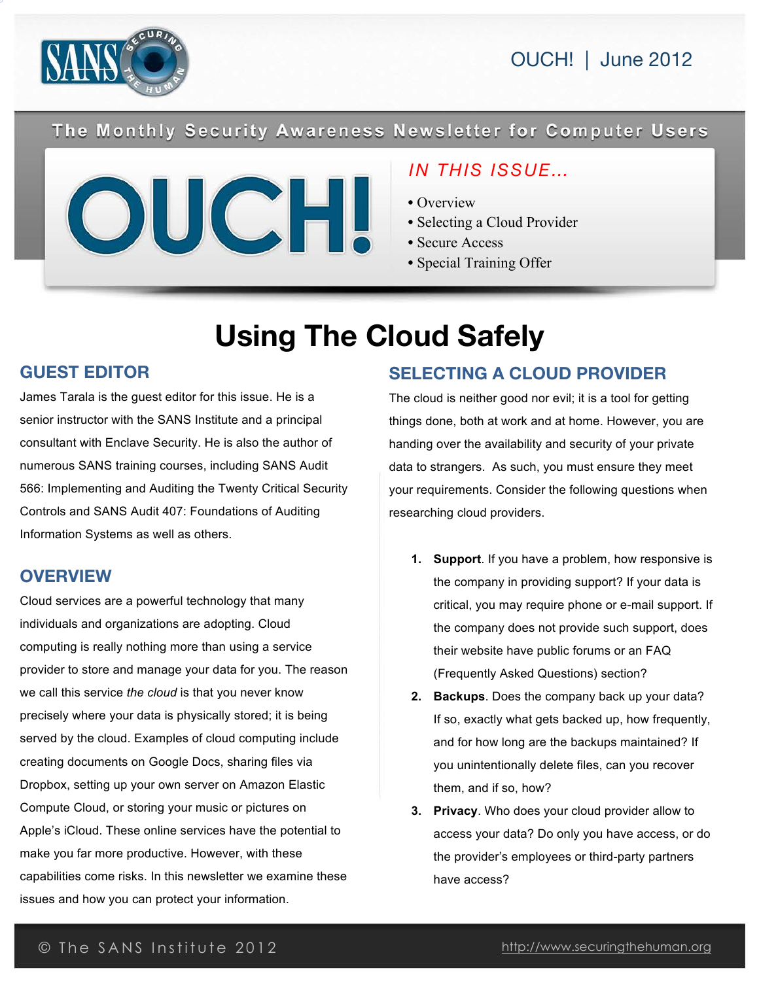

#### The Monthly Security Awareness Newsletter for Computer Users



## *IN THIS ISSUE…*

- Overview
- Selecting a Cloud Provider
- Secure Access
- Special Training Offer

# **Using The Cloud Safely**

#### **GUEST EDITOR**

James Tarala is the guest editor for this issue. He is a senior instructor with the SANS Institute and a principal consultant with Enclave Security. He is also the author of numerous SANS training courses, including SANS Audit 566: Implementing and Auditing the Twenty Critical Security Controls and SANS Audit 407: Foundations of Auditing Information Systems as well as others.

#### **OVERVIEW**

Cloud services are a powerful technology that many individuals and organizations are adopting. Cloud computing is really nothing more than using a service provider to store and manage your data for you. The reason we call this service *the cloud* is that you never know precisely where your data is physically stored; it is being served by the cloud. Examples of cloud computing include creating documents on Google Docs, sharing files via Dropbox, setting up your own server on Amazon Elastic Compute Cloud, or storing your music or pictures on Apple's iCloud. These online services have the potential to make you far more productive. However, with these capabilities come risks. In this newsletter we examine these issues and how you can protect your information.

# **SELECTING A CLOUD PROVIDER**

The cloud is neither good nor evil; it is a tool for getting things done, both at work and at home. However, you are handing over the availability and security of your private data to strangers. As such, you must ensure they meet your requirements. Consider the following questions when researching cloud providers.

- **1. Support**. If you have a problem, how responsive is the company in providing support? If your data is critical, you may require phone or e-mail support. If the company does not provide such support, does their website have public forums or an FAQ (Frequently Asked Questions) section?
- **2. Backups**. Does the company back up your data? If so, exactly what gets backed up, how frequently, and for how long are the backups maintained? If you unintentionally delete files, can you recover them, and if so, how?
- **3. Privacy**. Who does your cloud provider allow to access your data? Do only you have access, or do the provider's employees or third-party partners have access?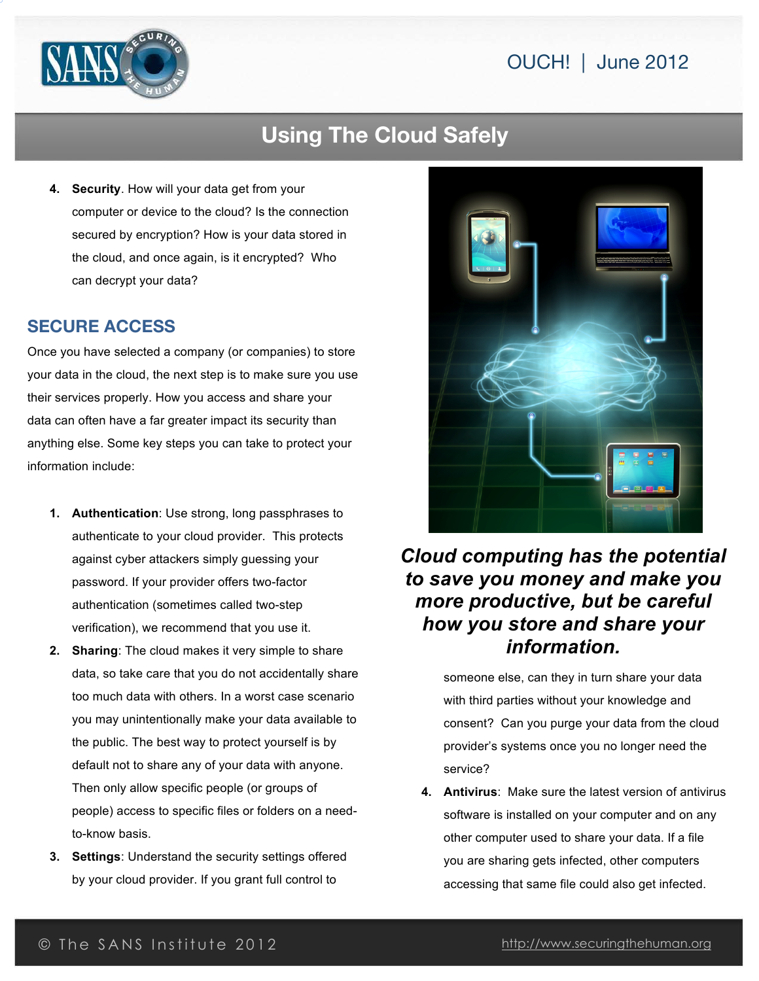

# **Using The Cloud Safely**

**4. Security**. How will your data get from your computer or device to the cloud? Is the connection secured by encryption? How is your data stored in the cloud, and once again, is it encrypted? Who can decrypt your data?

#### **SECURE ACCESS**

Once you have selected a company (or companies) to store your data in the cloud, the next step is to make sure you use their services properly. How you access and share your data can often have a far greater impact its security than anything else. Some key steps you can take to protect your information include:

- **1. Authentication**: Use strong, long passphrases to authenticate to your cloud provider. This protects against cyber attackers simply guessing your password. If your provider offers two-factor authentication (sometimes called two-step verification), we recommend that you use it.
- **2. Sharing**: The cloud makes it very simple to share data, so take care that you do not accidentally share too much data with others. In a worst case scenario you may unintentionally make your data available to the public. The best way to protect yourself is by default not to share any of your data with anyone. Then only allow specific people (or groups of people) access to specific files or folders on a needto-know basis.
- **3. Settings**: Understand the security settings offered by your cloud provider. If you grant full control to



# *Cloud computing has the potential to save you money and make you more productive, but be careful how you store and share your information.*

someone else, can they in turn share your data with third parties without your knowledge and consent? Can you purge your data from the cloud provider's systems once you no longer need the service?

**4. Antivirus**: Make sure the latest version of antivirus software is installed on your computer and on any other computer used to share your data. If a file you are sharing gets infected, other computers accessing that same file could also get infected.